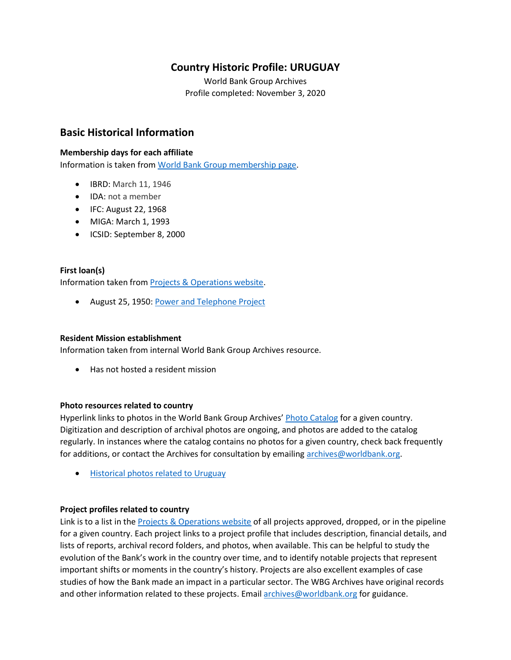# **Country Historic Profile: URUGUAY**

World Bank Group Archives Profile completed: November 3, 2020

# **Basic Historical Information**

#### **Membership days for each affiliate**

Information is taken from [World Bank Group membership page.](https://www.worldbank.org/en/about/leadership/members#1)

- IBRD: March 11, 1946
- IDA: not a member
- IFC: August 22, 1968
- MIGA: March 1, 1993
- ICSID: September 8, 2000

#### **First loan(s)**

Information taken from [Projects & Operations website.](https://projects.worldbank.org/)

• August 25, 1950[: Power and Telephone Project](https://projects.worldbank.org/en/projects-operations/project-detail/P008109)

#### **Resident Mission establishment**

Information taken from internal World Bank Group Archives resource.

• Has not hosted a resident mission

#### **Photo resources related to country**

Hyperlink links to photos in the World Bank Group Archives' [Photo Catalog](https://archivesphotos.worldbank.org/en/about/archives/photo-gallery) for a given country. Digitization and description of archival photos are ongoing, and photos are added to the catalog regularly. In instances where the catalog contains no photos for a given country, check back frequently for additions, or contact the Archives for consultation by emailing [archives@worldbank.org.](mailto:archives@worldbank.org)

• [Historical photos related to Uruguay](https://archivesphotos.worldbank.org/en/about/archives/photo-gallery/photo-gallery-landing?qterm=uruguay&x=0&y=0)

#### **Project profiles related to country**

Link is to a list in the [Projects & Operations website](https://projects.worldbank.org/) of all projects approved, dropped, or in the pipeline for a given country. Each project links to a project profile that includes description, financial details, and lists of reports, archival record folders, and photos, when available. This can be helpful to study the evolution of the Bank's work in the country over time, and to identify notable projects that represent important shifts or moments in the country's history. Projects are also excellent examples of case studies of how the Bank made an impact in a particular sector. The WBG Archives have original records and other information related to these projects. Email [archives@worldbank.org](mailto:archives@worldbank.org) for guidance.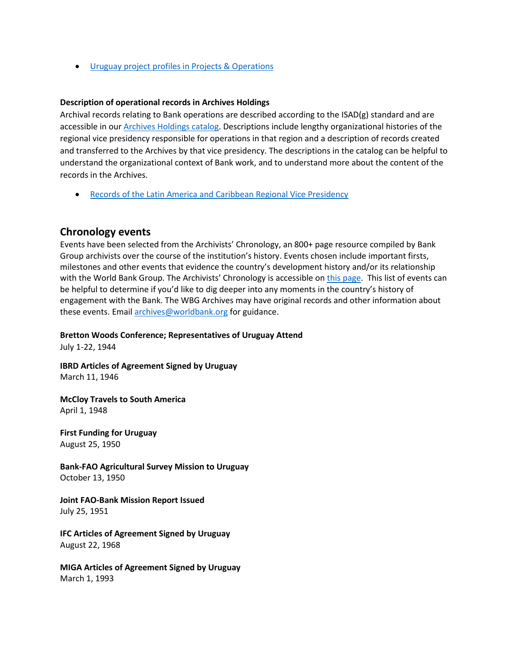• Uruguay [project profiles in Projects & Operations](https://projects.worldbank.org/en/projects-operations/projects-list?countrycode_exact=UY)

#### **Description of operational records in Archives Holdings**

Archival records relating to Bank operations are described according to the ISAD(g) standard and are accessible in our [Archives Holdings catalog.](https://archivesholdings.worldbank.org/) Descriptions include lengthy organizational histories of the regional vice presidency responsible for operations in that region and a description of records created and transferred to the Archives by that vice presidency. The descriptions in the catalog can be helpful to understand the organizational context of Bank work, and to understand more about the content of the records in the Archives.

• Records of the [Latin America and Caribbean Regional Vice Presidency](https://archivesholdings.worldbank.org/records-of-latin-america-and-caribbean-regional-vice-presidency)

#### **Chronology events**

Events have been selected from the Archivists' Chronology, an 800+ page resource compiled by Bank Group archivists over the course of the institution's history. Events chosen include important firsts, milestones and other events that evidence the country's development history and/or its relationship with the World Bank Group. The Archivists' Chronology is accessible on [this page.](https://www.worldbank.org/en/about/archives/history/timeline) This list of events can be helpful to determine if you'd like to dig deeper into any moments in the country's history of engagement with the Bank. The WBG Archives may have original records and other information about these events. Email [archives@worldbank.org](mailto:archives@worldbank.org) for guidance.

#### **Bretton Woods Conference; Representatives of Uruguay Attend**

July 1-22, 1944

**IBRD Articles of Agreement Signed by Uruguay** March 11, 1946

**McCloy Travels to South America** April 1, 1948

**First Funding for Uruguay** August 25, 1950

**Bank-FAO Agricultural Survey Mission to Uruguay** October 13, 1950

**Joint FAO-Bank Mission Report Issued** July 25, 1951

**IFC Articles of Agreement Signed by Uruguay** August 22, 1968

**MIGA Articles of Agreement Signed by Uruguay** March 1, 1993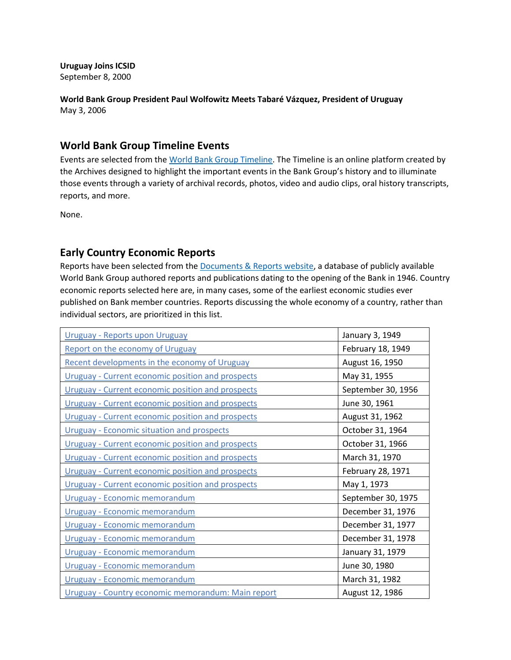**Uruguay Joins ICSID** September 8, 2000

**World Bank Group President Paul Wolfowitz Meets Tabaré Vázquez, President of Uruguay** May 3, 2006

### **World Bank Group Timeline Events**

Events are selected from th[e World Bank Group Timeline.](https://timeline.worldbank.org/#event-bretton-woods-conference-begins) The Timeline is an online platform created by the Archives designed to highlight the important events in the Bank Group's history and to illuminate those events through a variety of archival records, photos, video and audio clips, oral history transcripts, reports, and more.

None.

## **Early Country Economic Reports**

Reports have been selected from the **Documents & Reports website**, a database of publicly available World Bank Group authored reports and publications dating to the opening of the Bank in 1946. Country economic reports selected here are, in many cases, some of the earliest economic studies ever published on Bank member countries. Reports discussing the whole economy of a country, rather than individual sectors, are prioritized in this list.

| Uruguay - Reports upon Uruguay                           | January 3, 1949    |
|----------------------------------------------------------|--------------------|
| Report on the economy of Uruguay                         | February 18, 1949  |
| Recent developments in the economy of Uruguay            | August 16, 1950    |
| <b>Uruguay - Current economic position and prospects</b> | May 31, 1955       |
| <b>Uruguay - Current economic position and prospects</b> | September 30, 1956 |
| <b>Uruguay - Current economic position and prospects</b> | June 30, 1961      |
| <b>Uruguay - Current economic position and prospects</b> | August 31, 1962    |
| <b>Uruguay - Economic situation and prospects</b>        | October 31, 1964   |
| <b>Uruguay - Current economic position and prospects</b> | October 31, 1966   |
| <b>Uruguay - Current economic position and prospects</b> | March 31, 1970     |
| <b>Uruguay - Current economic position and prospects</b> | February 28, 1971  |
| <b>Uruguay - Current economic position and prospects</b> | May 1, 1973        |
| Uruguay - Economic memorandum                            | September 30, 1975 |
| Uruguay - Economic memorandum                            | December 31, 1976  |
| Uruguay - Economic memorandum                            | December 31, 1977  |
| Uruguay - Economic memorandum                            | December 31, 1978  |
| Uruguay - Economic memorandum                            | January 31, 1979   |
| Uruguay - Economic memorandum                            | June 30, 1980      |
| Uruguay - Economic memorandum                            | March 31, 1982     |
| Uruguay - Country economic memorandum: Main report       | August 12, 1986    |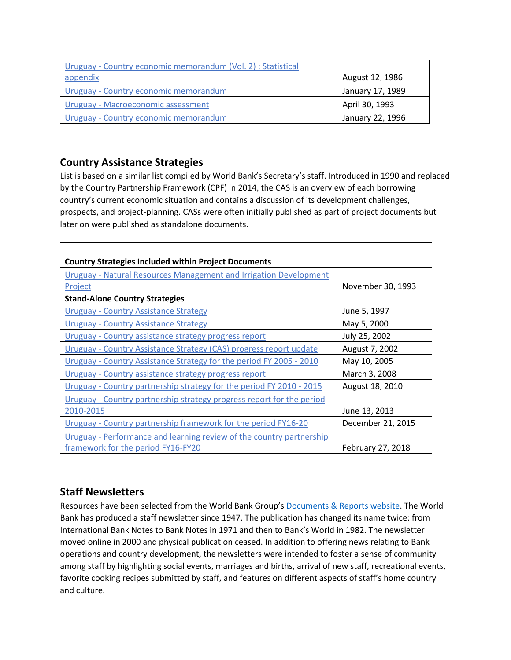| Uruguay - Country economic memorandum (Vol. 2) : Statistical |                  |
|--------------------------------------------------------------|------------------|
| <u>appendix</u>                                              | August 12, 1986  |
| Uruguay - Country economic memorandum                        | January 17, 1989 |
| <b>Uruguay - Macroeconomic assessment</b>                    | April 30, 1993   |
| Uruguay - Country economic memorandum                        | January 22, 1996 |

# **Country Assistance Strategies**

List is based on a similar list compiled by World Bank's Secretary's staff. Introduced in 1990 and replaced by the Country Partnership Framework (CPF) in 2014, the CAS is an overview of each borrowing country's current economic situation and contains a discussion of its development challenges, prospects, and project-planning. CASs were often initially published as part of project documents but later on were published as standalone documents.

| <b>Country Strategies Included within Project Documents</b>           |                   |  |
|-----------------------------------------------------------------------|-------------------|--|
| Uruguay - Natural Resources Management and Irrigation Development     |                   |  |
| Project                                                               | November 30, 1993 |  |
| <b>Stand-Alone Country Strategies</b>                                 |                   |  |
| <b>Uruguay - Country Assistance Strategy</b>                          | June 5, 1997      |  |
| <b>Uruguay - Country Assistance Strategy</b>                          | May 5, 2000       |  |
| Uruguay - Country assistance strategy progress report                 | July 25, 2002     |  |
| Uruguay - Country Assistance Strategy (CAS) progress report update    | August 7, 2002    |  |
| Uruguay - Country Assistance Strategy for the period FY 2005 - 2010   | May 10, 2005      |  |
| Uruguay - Country assistance strategy progress report                 | March 3, 2008     |  |
| Uruguay - Country partnership strategy for the period FY 2010 - 2015  | August 18, 2010   |  |
| Uruguay - Country partnership strategy progress report for the period |                   |  |
| 2010-2015                                                             | June 13, 2013     |  |
| Uruguay - Country partnership framework for the period FY16-20        | December 21, 2015 |  |
| Uruguay - Performance and learning review of the country partnership  |                   |  |
| framework for the period FY16-FY20                                    | February 27, 2018 |  |

# **Staff Newsletters**

Resources have been selected from the World Bank Group's [Documents & Reports website.](https://documents.worldbank.org/) The World Bank has produced a staff newsletter since 1947. The publication has changed its name twice: from International Bank Notes to Bank Notes in 1971 and then to Bank's World in 1982. The newsletter moved online in 2000 and physical publication ceased. In addition to offering news relating to Bank operations and country development, the newsletters were intended to foster a sense of community among staff by highlighting social events, marriages and births, arrival of new staff, recreational events, favorite cooking recipes submitted by staff, and features on different aspects of staff's home country and culture.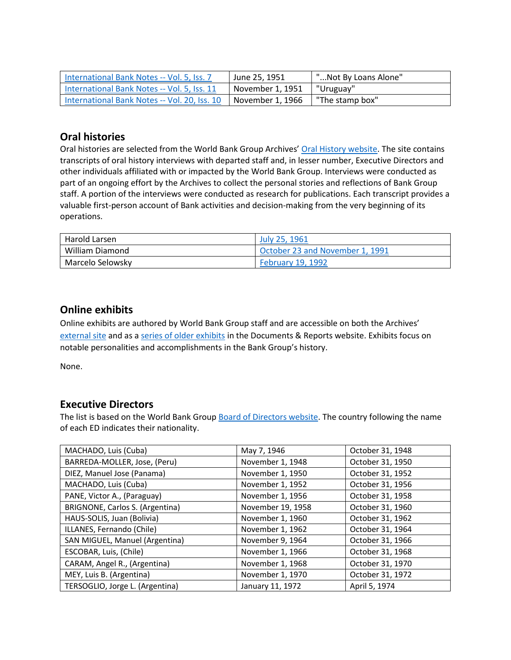| International Bank Notes -- Vol. 5, Iss. 7   | June 25, 1951    | "Not By Loans Alone" |
|----------------------------------------------|------------------|----------------------|
| International Bank Notes -- Vol. 5, Iss. 11  | November 1, 1951 | "Uruguay"            |
| International Bank Notes -- Vol. 20, Iss. 10 | November 1. 1966 | "The stamp box"      |

# **Oral histories**

Oral histories are selected from the World Bank Group Archives' [Oral History website.](https://oralhistory.worldbank.org/) The site contains transcripts of oral history interviews with departed staff and, in lesser number, Executive Directors and other individuals affiliated with or impacted by the World Bank Group. Interviews were conducted as part of an ongoing effort by the Archives to collect the personal stories and reflections of Bank Group staff. A portion of the interviews were conducted as research for publications. Each transcript provides a valuable first-person account of Bank activities and decision-making from the very beginning of its operations.

| Harold Larsen    | July 25, 1961                   |
|------------------|---------------------------------|
| William Diamond  | October 23 and November 1, 1991 |
| Marcelo Selowsky | <b>February 19, 1992</b>        |

## **Online exhibits**

Online exhibits are authored by World Bank Group staff and are accessible on both the Archives' [external site](https://www.worldbank.org/en/about/archives/history/exhibits) and as a [series of older exhibits](https://documents.worldbank.org/en/publication/documents-reports/documentlist?colti=World%20Bank%20Group%20Archives%20exhibit%20series) in the Documents & Reports website. Exhibits focus on notable personalities and accomplishments in the Bank Group's history.

None.

## **Executive Directors**

The list is based on the World Bank Group [Board of Directors website.](https://worldbankgroup.sharepoint.com/sites/wbsites/ExecutiveBoard/Pages/pc/About-the-Boards-05222019-155532/List-of-Executi-05222019-155839.aspx) The country following the name of each ED indicates their nationality.

| MACHADO, Luis (Cuba)            | May 7, 1946       | October 31, 1948 |
|---------------------------------|-------------------|------------------|
| BARREDA-MOLLER, Jose, (Peru)    | November 1, 1948  | October 31, 1950 |
| DIEZ, Manuel Jose (Panama)      | November 1, 1950  | October 31, 1952 |
| MACHADO, Luis (Cuba)            | November 1, 1952  | October 31, 1956 |
| PANE, Victor A., (Paraguay)     | November 1, 1956  | October 31, 1958 |
| BRIGNONE, Carlos S. (Argentina) | November 19, 1958 | October 31, 1960 |
| HAUS-SOLIS, Juan (Bolivia)      | November 1, 1960  | October 31, 1962 |
| ILLANES, Fernando (Chile)       | November 1, 1962  | October 31, 1964 |
| SAN MIGUEL, Manuel (Argentina)  | November 9, 1964  | October 31, 1966 |
| ESCOBAR, Luis, (Chile)          | November 1, 1966  | October 31, 1968 |
| CARAM, Angel R., (Argentina)    | November 1, 1968  | October 31, 1970 |
| MEY, Luis B. (Argentina)        | November 1, 1970  | October 31, 1972 |
| TERSOGLIO, Jorge L. (Argentina) | January 11, 1972  | April 5, 1974    |